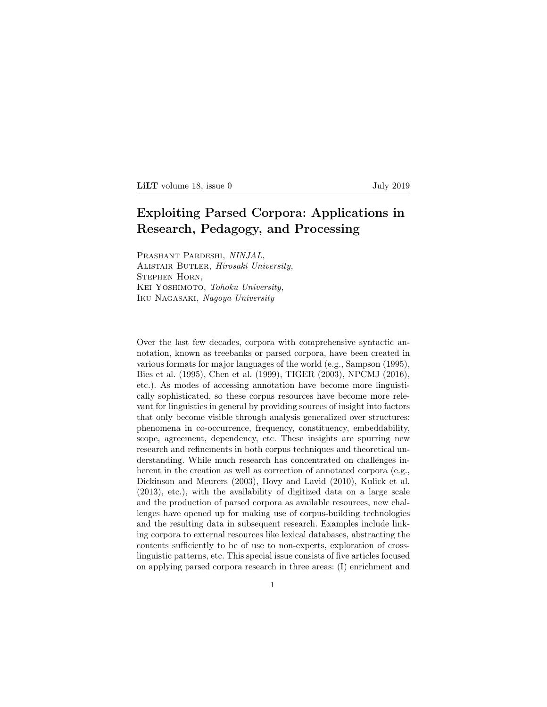LILT volume 18, issue 0 July 2019

## Exploiting Parsed Corpora: Applications in Research, Pedagogy, and Processing

Prashant Pardeshi, *NINJAL*, Alistair Butler, *Hirosaki University*, Stephen Horn, Kei Yoshimoto, *Tohoku University*, Iku Nagasaki, *Nagoya University*

Over the last few decades, corpora with comprehensive syntactic annotation, known as treebanks or parsed corpora, have been created in various formats for major languages of the world (e.g., Sampson (1995), Bies et al. (1995), Chen et al. (1999), TIGER (2003), NPCMJ (2016), etc.). As modes of accessing annotation have become more linguistically sophisticated, so these corpus resources have become more relevant for linguistics in general by providing sources of insight into factors that only become visible through analysis generalized over structures: phenomena in co-occurrence, frequency, constituency, embeddability, scope, agreement, dependency, etc. These insights are spurring new research and refinements in both corpus techniques and theoretical understanding. While much research has concentrated on challenges inherent in the creation as well as correction of annotated corpora (e.g., Dickinson and Meurers (2003), Hovy and Lavid (2010), Kulick et al. (2013), etc.), with the availability of digitized data on a large scale and the production of parsed corpora as available resources, new challenges have opened up for making use of corpus-building technologies and the resulting data in subsequent research. Examples include linking corpora to external resources like lexical databases, abstracting the contents sufficiently to be of use to non-experts, exploration of crosslinguistic patterns, etc. This special issue consists of five articles focused on applying parsed corpora research in three areas: (I) enrichment and